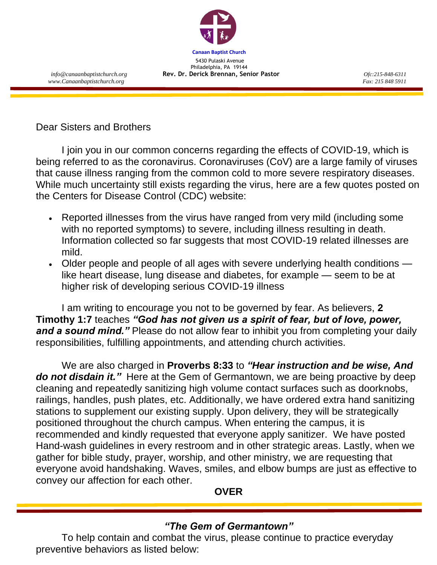

 *www.Canaanbaptistchurch.org Fax: 215 848 5911*

Dear Sisters and Brothers

I join you in our common concerns regarding the effects of COVID-19, which is being referred to as the coronavirus. Coronaviruses (CoV) are a large family of viruses that cause illness ranging from the common cold to more severe respiratory diseases. While much uncertainty still exists regarding the virus, here are a few quotes posted on the Centers for Disease Control (CDC) website:

- Reported illnesses from the virus have ranged from very mild (including some with no reported symptoms) to severe, including illness resulting in death. Information collected so far suggests that most COVID-19 related illnesses are mild.
- Older people and people of all ages with severe underlying health conditions like heart disease, lung disease and diabetes, for example — seem to be at higher risk of developing serious COVID-19 illness

I am writing to encourage you not to be governed by fear. As believers, **2 Timothy 1:7** teaches *"God has not given us a spirit of fear, but of love, power,*  and a sound mind." Please do not allow fear to inhibit you from completing your daily responsibilities, fulfilling appointments, and attending church activities.

We are also charged in **Proverbs 8:33** to *"Hear instruction and be wise, And do not disdain it."* Here at the Gem of Germantown, we are being proactive by deep cleaning and repeatedly sanitizing high volume contact surfaces such as doorknobs, railings, handles, push plates, etc. Additionally, we have ordered extra hand sanitizing stations to supplement our existing supply. Upon delivery, they will be strategically positioned throughout the church campus. When entering the campus, it is recommended and kindly requested that everyone apply sanitizer. We have posted Hand-wash guidelines in every restroom and in other strategic areas. Lastly, when we gather for bible study, prayer, worship, and other ministry, we are requesting that everyone avoid handshaking. Waves, smiles, and elbow bumps are just as effective to convey our affection for each other.

**OVER**

## *"The Gem of Germantown"*

To help contain and combat the virus, please continue to practice everyday preventive behaviors as listed below: